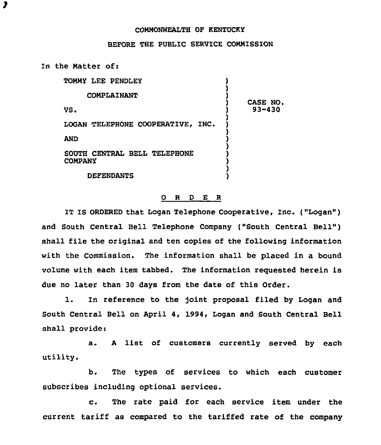## COMMONWEALTH OF KENTUCKY

## BEFORE THE PUBLIC SERVICE COMMISSION

In the Matter of:

| TOMMY LEE PENDLEY                              |                |
|------------------------------------------------|----------------|
| COMPLAINANT                                    | <b>CASE NO</b> |
| VS.                                            | 93-430         |
| LOGAN TELEPHONE COOPERATIVE, INC.              |                |
| AND                                            |                |
| SOUTH CENTRAL BELL TELEPHONE<br><b>COMPANY</b> |                |
| <b>DEFENDANTS</b>                              |                |

## 0 R <sup>D</sup> E <sup>R</sup>

IT IS ORDERED that Logan Telephone Cooperative, Inc. ("Logan" ) and South Central Bell Telephone Company ("South Central Bell") shall file the original and ten copies of the following information with the Commission. The information shall be placed in a bound volume with each item tabbed. The information requested herein is due no later than 30 days from the date of this Order.

l. In reference to the joint proposal filed by Logan and South Central Bell on April 4, 1994, Logan and South Central Bell shall provide:

a. <sup>A</sup> list of customers currently served by each utility.

b. The types of services to which each customer subscribes including optional services.

c. The rate paid for each service item under the current tariff as compared to the tariffed rate of the company

 $\overline{\mathbf{z}}$